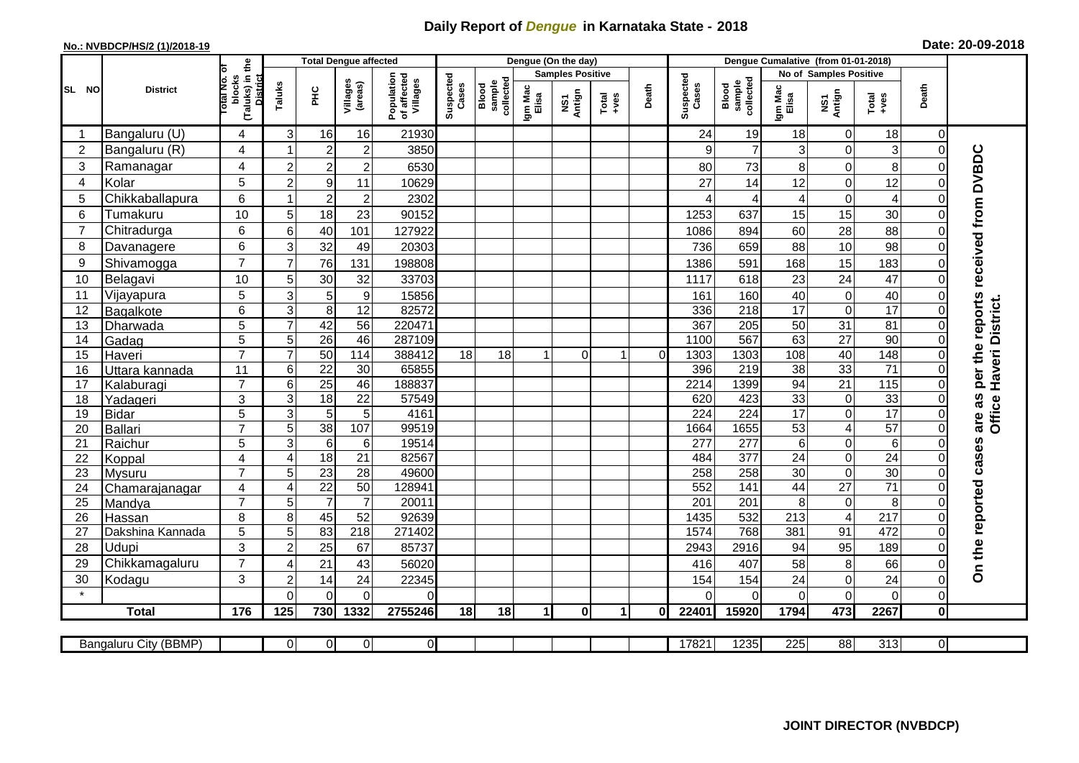## **Daily Report of** *Dengue* **in Karnataka State - 2018**

## **No.: NVBDCP/HS/2 (1)/2018-19 Date: 20-09-2018**

|                |                       | the                                 |                |                  | <b>Total Dengue affected</b> |                                       |                    |                              |                         | Dengue (On the day) |               |                | Dengue Cumalative (from 01-01-2018) |                              |                  |                         |                  |                |                                     |
|----------------|-----------------------|-------------------------------------|----------------|------------------|------------------------------|---------------------------------------|--------------------|------------------------------|-------------------------|---------------------|---------------|----------------|-------------------------------------|------------------------------|------------------|-------------------------|------------------|----------------|-------------------------------------|
|                |                       |                                     |                |                  |                              |                                       |                    |                              | <b>Samples Positive</b> |                     |               |                |                                     | No of Samples Positive       |                  |                         |                  |                |                                     |
| SL NO          | <b>District</b>       | (Taluks) in t<br>blocks<br>otal No. | Taluks         | ĔБ               | Villages<br>(areas)          | Population<br>of affected<br>Villages | Suspected<br>Cases | Blood<br>sample<br>collected | Igm Mac<br>Elisa        | Antign<br>ŠΣ        | Total<br>+ves | Death          | Suspected<br>Cases                  | collected<br>sample<br>Blood | Igm Mac<br>Elisa | NS1<br>Antign           | Total<br>$+ve$ s | Death          |                                     |
| -1             | Bangaluru (U)         | 4                                   | 3              | 16               | 16                           | 21930                                 |                    |                              |                         |                     |               |                | 24                                  | 19                           | 18               | $\overline{0}$          | 18               | 0              |                                     |
| $\overline{2}$ | Bangaluru (R)         | 4                                   | $\mathbf{1}$   | $\overline{2}$   | $\sqrt{2}$                   | 3850                                  |                    |                              |                         |                     |               |                | 9                                   | $\overline{7}$               | 3                | $\mathbf 0$             | 3                | $\Omega$       |                                     |
| 3              | Ramanagar             | 4                                   | $\overline{2}$ | $\overline{c}$   | $\overline{\mathbf{c}}$      | 6530                                  |                    |                              |                         |                     |               |                | 80                                  | 73                           | 8                | $\pmb{0}$               | 8                | $\Omega$       |                                     |
| 4              | Kolar                 | 5                                   | $\overline{2}$ | $\boldsymbol{9}$ | 11                           | 10629                                 |                    |                              |                         |                     |               |                | 27                                  | 14                           | 12               | $\mathbf 0$             | 12               | $\Omega$       |                                     |
| 5              | Chikkaballapura       | 6                                   | $\mathbf{1}$   | $\overline{c}$   | $\overline{2}$               | 2302                                  |                    |                              |                         |                     |               |                | ⊿                                   | $\boldsymbol{\Delta}$        | 4                | $\pmb{0}$               | 4                | $\Omega$       | per the reports received from DVBDC |
| 6              | Tumakuru              | 10                                  | 5              | 18               | 23                           | 90152                                 |                    |                              |                         |                     |               |                | 1253                                | 637                          | 15               | 15                      | 30               | $\Omega$       |                                     |
| $\overline{7}$ | Chitradurga           | 6                                   | 6              | 40               | 101                          | 127922                                |                    |                              |                         |                     |               |                | 1086                                | 894                          | 60               | 28                      | 88               | $\mathbf 0$    |                                     |
| 8              | Davanagere            | 6                                   | 3              | 32               | 49                           | 20303                                 |                    |                              |                         |                     |               |                | 736                                 | 659                          | 88               | 10                      | 98               | $\mathbf 0$    |                                     |
| 9              | Shivamogga            | $\overline{7}$                      | $\overline{7}$ | 76               | 131                          | 198808                                |                    |                              |                         |                     |               |                | 1386                                | 591                          | 168              | 15                      | 183              | $\Omega$       |                                     |
| 10             | Belagavi              | 10                                  | 5              | 30               | 32                           | 33703                                 |                    |                              |                         |                     |               |                | 1117                                | 618                          | 23               | 24                      | 47               | $\mathbf 0$    |                                     |
| 11             | Vijayapura            | 5                                   | 3              | 5                | $\boldsymbol{9}$             | 15856                                 |                    |                              |                         |                     |               |                | 161                                 | 160                          | 40               | $\mathbf 0$             | 40               | $\Omega$       |                                     |
| 12             | Bagalkote             | 6                                   | 3              | $\overline{8}$   | $\overline{12}$              | 82572                                 |                    |                              |                         |                     |               |                | 336                                 | 218                          | $\overline{17}$  | $\pmb{0}$               | 17               | $\overline{0}$ | Haveri District.                    |
| 13             | Dharwada              | 5                                   | $\overline{7}$ | 42               | $\overline{56}$              | 220471                                |                    |                              |                         |                     |               |                | 367                                 | $\overline{205}$             | 50               | 31                      | 81               | $\Omega$       |                                     |
| 14             | Gadag                 | 5                                   | 5              | $\overline{26}$  | 46                           | 287109                                |                    |                              |                         |                     |               |                | 1100                                | 567                          | 63               | $\overline{27}$         | $\overline{90}$  | $\overline{0}$ |                                     |
| 15             | Haveri                | $\overline{7}$                      | $\overline{7}$ | 50               | 114                          | 388412                                | 18                 | 18                           | 1                       | $\mathbf 0$         | 1             | $\overline{0}$ | 1303                                | 1303                         | 108              | 40                      | 148              | $\overline{0}$ |                                     |
| 16             | Uttara kannada        | 11                                  | 6              | $\overline{22}$  | 30                           | 65855                                 |                    |                              |                         |                     |               |                | 396                                 | 219                          | $\overline{38}$  | 33                      | $\overline{71}$  |                |                                     |
| 17             | Kalaburagi            | $\overline{7}$                      | 6              | $\overline{25}$  | 46                           | 188837                                |                    |                              |                         |                     |               |                | 2214                                | 1399                         | 94               | 21                      | 115              | $\Omega$       |                                     |
| 18             | Yadageri              | 3                                   | 3              | $\overline{18}$  | 22                           | 57549                                 |                    |                              |                         |                     |               |                | 620                                 | 423                          | 33               | $\pmb{0}$               | 33               | $\Omega$       |                                     |
| 19             | <b>Bidar</b>          | 5                                   | 3              | 5                | $\overline{5}$               | 4161                                  |                    |                              |                         |                     |               |                | 224                                 | $\overline{224}$             | $\overline{17}$  | $\mathbf 0$             | 17               | $\Omega$       | are as<br>Office                    |
| 20             | Ballari               | $\overline{7}$                      | 5              | 38               | 107                          | 99519                                 |                    |                              |                         |                     |               |                | 1664                                | 1655                         | 53               | $\blacktriangle$        | 57               | $\mathbf 0$    |                                     |
| 21             | Raichur               | 5                                   | $\overline{3}$ | $\overline{6}$   | 6                            | 19514                                 |                    |                              |                         |                     |               |                | $\overline{277}$                    | $\overline{277}$             | 6                | $\pmb{0}$               | 6                | $\Omega$       |                                     |
| 22             | Koppal                | $\overline{4}$                      | $\overline{4}$ | $\overline{18}$  | 21                           | 82567                                 |                    |                              |                         |                     |               |                | 484                                 | $\overline{377}$             | $\overline{24}$  | $\mathbf 0$             | $\overline{24}$  | $\overline{0}$ |                                     |
| 23             | Mysuru                | $\overline{7}$                      | 5              | $\overline{23}$  | $\overline{28}$              | 49600                                 |                    |                              |                         |                     |               |                | 258                                 | 258                          | $\overline{30}$  | $\pmb{0}$               | 30               | $\mathbf 0$    |                                     |
| 24             | Chamarajanagar        | 4                                   | 4              | $\overline{22}$  | $\overline{50}$              | 128941                                |                    |                              |                         |                     |               |                | 552                                 | 141                          | 44               | $\overline{27}$         | $\overline{71}$  | $\overline{0}$ |                                     |
| 25             | Mandya                | $\overline{7}$                      | 5              | $\overline{7}$   | $\overline{7}$               | 20011                                 |                    |                              |                         |                     |               |                | 201                                 | 201                          | 8                | $\mathbf 0$             | 8                | $\Omega$       |                                     |
| 26             | Hassan                | 8                                   | 8              | 45               | 52                           | 92639                                 |                    |                              |                         |                     |               |                | 1435                                | 532                          | 213              | $\overline{\mathbf{4}}$ | 217              | $\mathbf 0$    |                                     |
| 27             | Dakshina Kannada      | 5                                   | $\overline{5}$ | 83               | $\overline{218}$             | 271402                                |                    |                              |                         |                     |               |                | 1574                                | 768                          | 381              | $\overline{91}$         | 472              | $\Omega$       |                                     |
| 28             | Udupi                 | 3                                   | $\overline{2}$ | 25               | 67                           | 85737                                 |                    |                              |                         |                     |               |                | 2943                                | 2916                         | 94               | 95                      | 189              | $\Omega$       |                                     |
| 29             | Chikkamagaluru        | $\overline{7}$                      | $\overline{4}$ | 21               | 43                           | 56020                                 |                    |                              |                         |                     |               |                | 416                                 | 407                          | 58               | $\bf 8$                 | 66               | $\Omega$       | On the reported cases               |
| 30             | Kodagu                | 3                                   | $\overline{2}$ | 14               | 24                           | 22345                                 |                    |                              |                         |                     |               |                | 154                                 | 154                          | 24               | $\mathbf 0$             | 24               | $\overline{0}$ |                                     |
|                |                       |                                     | $\Omega$       | 0                | 0                            | $\Omega$                              |                    |                              |                         |                     |               |                | $\Omega$                            | $\Omega$                     | $\Omega$         | $\mathbf 0$             | 0                | $\mathbf 0$    |                                     |
|                | <b>Total</b>          | 176                                 | 125            | 730              | 1332                         | 2755246                               | 18                 | 18                           | 1                       | $\mathbf{0}$        | 1             | 0              | 22401                               | 15920                        | 1794             | 473                     | 2267             | $\mathbf 0$    |                                     |
|                |                       |                                     |                |                  |                              |                                       |                    |                              |                         |                     |               |                |                                     |                              |                  |                         |                  |                |                                     |
|                | Bangaluru City (BBMP) |                                     | $\overline{0}$ | $\overline{0}$   | $\overline{0}$               | $\overline{0}$                        |                    |                              |                         |                     |               |                | 17821                               | 1235                         | 225              | 88                      | 313              | $\overline{0}$ |                                     |